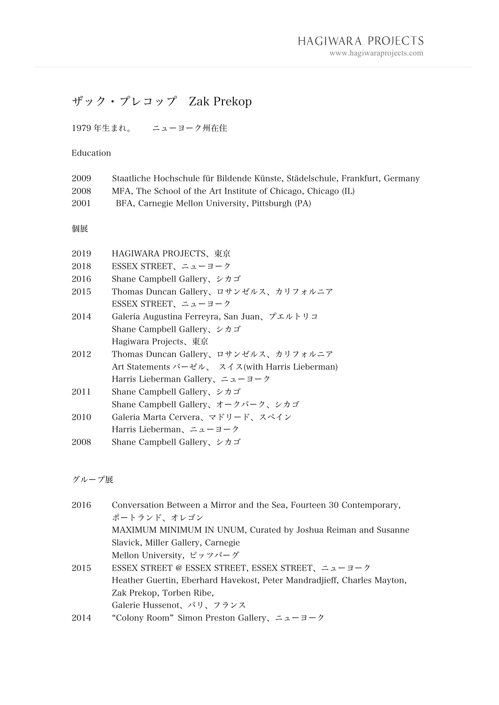## ザック・プレコップ Zak Prekop

1979 年生まれ。 ニューヨーク州在住

## Education

| 2009 | Staatliche Hochschule für Bildende Künste, Städelschule, Frankfurt, Germany |
|------|-----------------------------------------------------------------------------|
| 2008 | MFA, The School of the Art Institute of Chicago, Chicago (IL)               |
| 2001 | BFA, Carnegie Mellon University, Pittsburgh (PA)                            |
| 個展   |                                                                             |
| 2019 | HAGIWARA PROJECTS、東京                                                        |
| 2018 | ESSEX STREET、ニューヨーク                                                         |
| 2016 | Shane Campbell Gallery、シカゴ                                                  |
| 2015 | Thomas Duncan Gallery、ロサンゼルス、カリフォルニア                                        |
|      | ESSEX STREET、ニューヨーク                                                         |
| 2014 | Galería Augustina Ferreyra, San Juan、プエルトリコ                                 |
|      | Shane Campbell Gallery, $\triangleright$ $\forall$ $\forall$ $\preceq$      |
|      | Hagiwara Projects、東京                                                        |
| 2012 | Thomas Duncan Gallery、ロサンゼルス、カリフォルニア                                        |
|      | Art Statements バーゼル、 スイス(with Harris Lieberman)                             |
|      | Harris Lieberman Gallery、ニューヨーク                                             |
| 2011 | Shane Campbell Gallery、シカゴ                                                  |
|      | Shane Campbell Gallery、オークパーク、シカゴ                                           |
| 2010 | Galeria Marta Cervera、マドリード、スペイン                                            |
|      | Harris Lieberman、ニューヨーク                                                     |
| 2008 | Shane Campbell Gallery、シカゴ                                                  |
|      |                                                                             |

グループ展

| 2016 | Conversation Between a Mirror and the Sea, Fourteen 30 Contemporary,    |
|------|-------------------------------------------------------------------------|
|      | ポートランド、オレゴン                                                             |
|      | MAXIMUM MINIMUM IN UNUM, Curated by Joshua Reiman and Susanne           |
|      | Slavick, Miller Gallery, Carnegie                                       |
|      | Mellon University, ピッツバーグ                                               |
| 2015 | ESSEX STREET @ ESSEX STREET, ESSEX STREET、ニューヨーク                        |
|      | Heather Guertin, Eberhard Havekost, Peter Mandradjieff, Charles Mayton, |
|      | Zak Prekop, Torben Ribe,                                                |
|      | Galerie Hussenot、パリ、フランス                                                |
| 2014 | "Colony Room" Simon Preston Gallery, $2a - 3 - 7$                       |